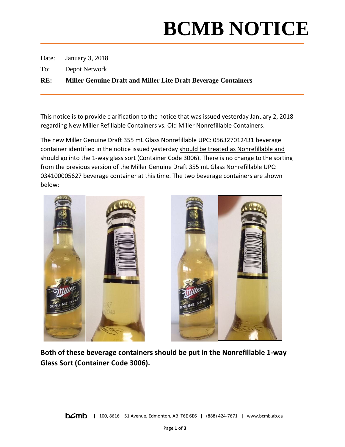## **BCMB NOTICE**

Date: January 3, 2018

To: Depot Network

**RE: Miller Genuine Draft and Miller Lite Draft Beverage Containers**

This notice is to provide clarification to the notice that was issued yesterday January 2, 2018 regarding New Miller Refillable Containers vs. Old Miller Nonrefillable Containers.

The new Miller Genuine Draft 355 mL Glass Nonrefillable UPC: 056327012431 beverage container identified in the notice issued yesterday should be treated as Nonrefillable and should go into the 1-way glass sort (Container Code 3006). There is no change to the sorting from the previous version of the Miller Genuine Draft 355 mL Glass Nonrefillable UPC: 034100005627 beverage container at this time. The two beverage containers are shown below:





**Both of these beverage containers should be put in the Nonrefillable 1-way Glass Sort (Container Code 3006).**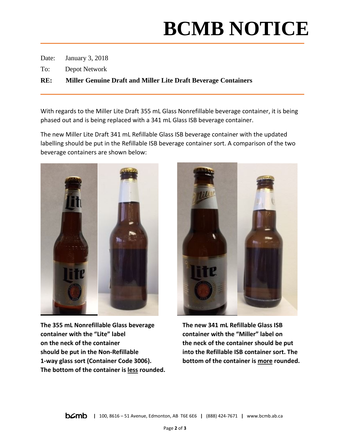## **BCMB NOTICE**

Date: January 3, 2018

To: Depot Network

**RE: Miller Genuine Draft and Miller Lite Draft Beverage Containers**

With regards to the Miller Lite Draft 355 mL Glass Nonrefillable beverage container, it is being phased out and is being replaced with a 341 mL Glass ISB beverage container.

The new Miller Lite Draft 341 mL Refillable Glass ISB beverage container with the updated labelling should be put in the Refillable ISB beverage container sort. A comparison of the two beverage containers are shown below:



**The 355 mL Nonrefillable Glass beverage The new 341 mL Refillable Glass ISB container with the "Lite" label container with the "Miller" label on on the neck of the container the neck of the container should be put should be put in the Non-Refillable into the Refillable ISB container sort. The 1-way glass sort (Container Code 3006). bottom of the container is more rounded. The bottom of the container is less rounded.**